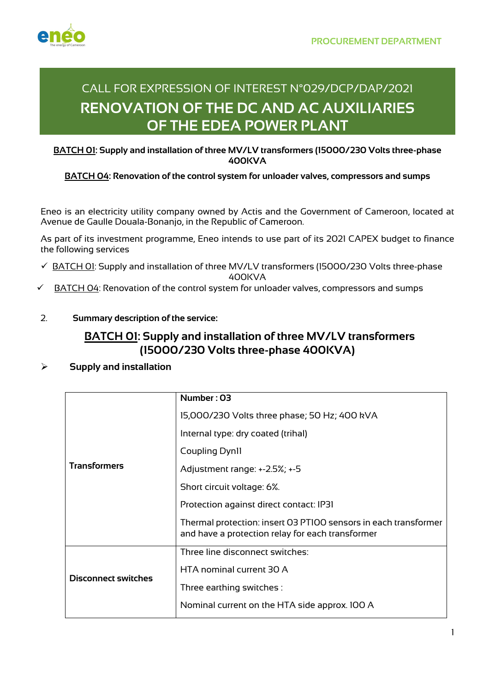

# CALL FOR EXPRESSION OF INTEREST N°029/DCP/DAP/2021 **RENOVATION OF THE DC AND AC AUXILIARIES OF THE EDEA POWER PLANT**

#### **BATCH 01: Supply and installation of three MV/LV transformers (15000/230 Volts three-phase 400KVA**

### **BATCH 04: Renovation of the control system for unloader valves, compressors and sumps**

Eneo is an electricity utility company owned by Actis and the Government of Cameroon, located at Avenue de Gaulle Douala-Bonanjo, in the Republic of Cameroon.

As part of its investment programme, Eneo intends to use part of its 2021 CAPEX budget to finance the following services

 $\checkmark$  BATCH 01: Supply and installation of three MV/LV transformers (15000/230 Volts three-phase

400KVA

- $\checkmark$  BATCH 04: Renovation of the control system for unloader valves, compressors and sumps
- 2. **Summary description of the service:**

# **BATCH 01: Supply and installation of three MV/LV transformers (15000/230 Volts three-phase 400KVA)**

### Ø **Supply and installation**

| <b>Transformers</b>        | Number: 03                                                                                                          |
|----------------------------|---------------------------------------------------------------------------------------------------------------------|
|                            | 15,000/230 Volts three phase; 50 Hz; 400 kVA                                                                        |
|                            | Internal type: dry coated (trihal)                                                                                  |
|                            | Coupling Dynll                                                                                                      |
|                            | Adjustment range: +-2.5%; +-5                                                                                       |
|                            | Short circuit voltage: 6%.                                                                                          |
|                            | Protection against direct contact: IP31                                                                             |
|                            | Thermal protection: insert 03 PT100 sensors in each transformer<br>and have a protection relay for each transformer |
| <b>Disconnect switches</b> | Three line disconnect switches:                                                                                     |
|                            | HTA nominal current 30 A                                                                                            |
|                            | Three earthing switches :                                                                                           |
|                            | Nominal current on the HTA side approx. 100 A                                                                       |
|                            |                                                                                                                     |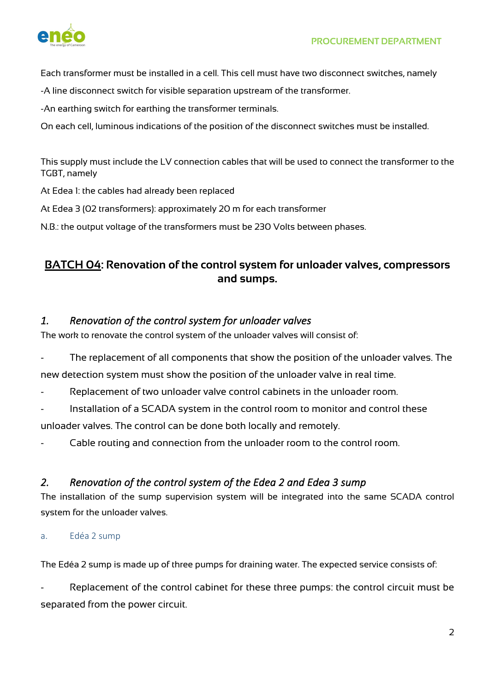

Each transformer must be installed in a cell. This cell must have two disconnect switches, namely

-A line disconnect switch for visible separation upstream of the transformer.

-An earthing switch for earthing the transformer terminals.

On each cell, luminous indications of the position of the disconnect switches must be installed.

This supply must include the LV connection cables that will be used to connect the transformer to the TGBT, namely

At Edea 1: the cables had already been replaced

At Edea 3 (02 transformers): approximately 20 m for each transformer

N.B.: the output voltage of the transformers must be 230 Volts between phases.

## **BATCH 04: Renovation of the control system for unloader valves, compressors and sumps.**

### *1. Renovation of the control system for unloader valves*

The work to renovate the control system of the unloader valves will consist of:

- The replacement of all components that show the position of the unloader valves. The

new detection system must show the position of the unloader valve in real time.

- Replacement of two unloader valve control cabinets in the unloader room.
- Installation of a SCADA system in the control room to monitor and control these

unloader valves. The control can be done both locally and remotely.

Cable routing and connection from the unloader room to the control room.

### *2. Renovation of the control system of the Edea 2 and Edea 3 sump*

The installation of the sump supervision system will be integrated into the same SCADA control system for the unloader valves.

#### a. Edéa 2 sump

The Edéa 2 sump is made up of three pumps for draining water. The expected service consists of:

Replacement of the control cabinet for these three pumps: the control circuit must be separated from the power circuit.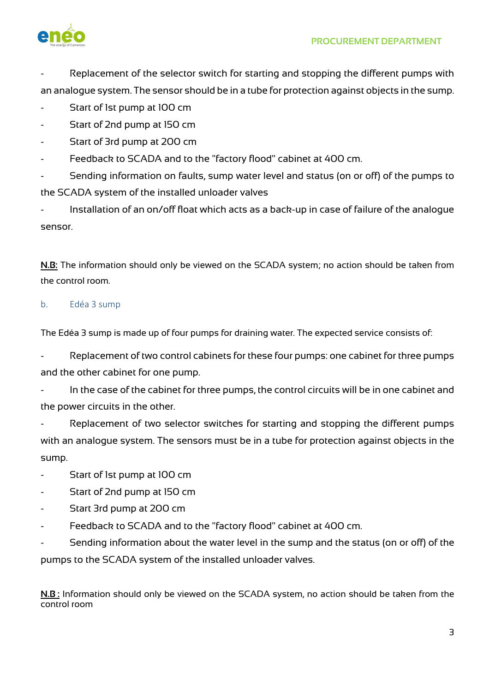

Replacement of the selector switch for starting and stopping the different pumps with an analogue system. The sensor should be in a tube for protection against objects in the sump.

- Start of 1st pump at 100 cm
- Start of 2nd pump at 150 cm
- Start of 3rd pump at 200 cm
- Feedback to SCADA and to the "factory flood" cabinet at 400 cm.

Sending information on faults, sump water level and status (on or off) of the pumps to the SCADA system of the installed unloader valves

Installation of an on/off float which acts as a back-up in case of failure of the analogue sensor.

**N.B:** The information should only be viewed on the SCADA system; no action should be taken from the control room.

#### b. Edéa 3 sump

The Edéa 3 sump is made up of four pumps for draining water. The expected service consists of:

Replacement of two control cabinets for these four pumps: one cabinet for three pumps and the other cabinet for one pump.

In the case of the cabinet for three pumps, the control circuits will be in one cabinet and the power circuits in the other.

Replacement of two selector switches for starting and stopping the different pumps with an analogue system. The sensors must be in a tube for protection against objects in the sump.

Start of 1st pump at 100 cm

- Start of 2nd pump at 150 cm
- Start 3rd pump at 200 cm
- Feedback to SCADA and to the "factory flood" cabinet at 400 cm.

Sending information about the water level in the sump and the status (on or off) of the pumps to the SCADA system of the installed unloader valves.

**N.B :** Information should only be viewed on the SCADA system, no action should be taken from the control room